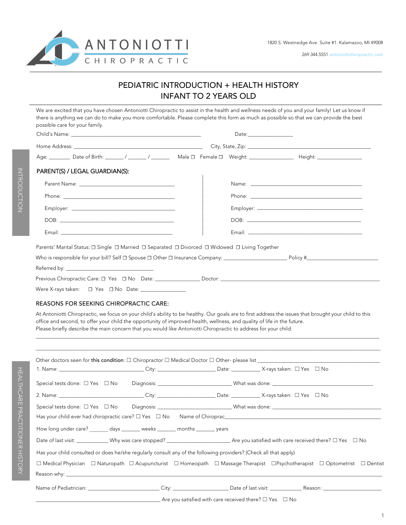

269.344.5551 antoniottichiropractic.com

# PEDIATRIC INTRODUCTION + HEALTH HISTORY INFANT TO 2 YEARS OLD

Child's Name: \_\_\_\_\_\_\_\_\_\_\_\_\_\_\_\_\_\_\_\_\_\_\_\_\_\_\_\_\_\_\_\_\_\_\_\_\_\_\_\_\_\_\_\_\_\_\_\_\_ Date:\_\_\_\_\_\_\_\_\_\_\_\_\_\_\_\_\_ Home Address: \_\_\_\_\_\_\_\_\_\_\_\_\_\_\_\_\_\_\_\_\_\_\_\_\_\_\_\_\_\_\_\_\_\_\_\_\_\_\_\_\_\_\_\_\_\_\_\_\_ City, State, Zip: \_\_\_\_\_\_\_\_\_\_\_\_\_\_\_\_\_\_\_\_\_\_\_\_\_\_\_\_\_\_\_\_\_\_\_\_\_\_\_\_\_\_\_\_\_\_\_ Special tests done: □ Yes □ No Diagnosis: \_\_\_\_\_\_\_\_\_\_\_\_\_\_\_\_\_\_\_\_\_\_\_\_\_\_\_\_\_\_\_What was done: \_\_\_\_\_\_\_\_\_\_\_\_ 2. Name: \_\_\_\_\_\_\_\_\_\_\_\_\_\_\_\_\_\_\_\_\_\_\_\_\_\_\_\_\_\_\_\_ City: \_\_\_\_\_\_\_\_\_\_\_\_\_\_\_\_\_\_\_\_\_\_ Date: \_\_\_\_\_\_\_\_\_\_\_ X-rays taken: ☐ Yes ☐ No Special tests done: ☐ Yes ☐ No Diagnosis: \_\_\_\_\_\_\_\_\_\_\_\_\_\_\_\_\_\_\_\_\_\_\_\_\_\_\_\_ What was done: \_\_\_\_\_\_\_\_\_\_\_\_\_\_\_\_\_\_\_\_\_\_\_\_\_\_\_\_\_\_\_\_\_\_\_\_\_\_\_\_\_ Has your child ever had chiropractic care? □ Yes □ No Name of Chiroprac\_\_\_\_\_\_\_\_\_ How long under care? \_\_\_\_\_\_\_ days \_\_\_\_\_\_\_ weeks \_\_\_\_\_\_\_ months \_\_\_\_\_\_\_ years Age: \_\_\_\_\_\_\_\_ Date of Birth: \_\_\_\_\_\_\_ / \_\_\_\_\_\_\_ / \_\_\_\_\_\_\_ Male ☐ Female ☐ Weight: \_\_\_\_\_\_\_\_\_\_\_\_\_\_\_\_\_ Height: \_\_\_\_\_\_\_\_\_\_\_\_\_\_\_\_\_ PARENT(S) / LEGAL GUARDIAN(S): Parent Name: Phone: \_\_\_\_\_\_\_\_\_\_\_\_\_\_\_\_\_\_\_\_\_\_\_\_\_\_\_\_\_\_\_\_\_\_\_\_\_\_\_\_\_\_ Employer: \_\_\_\_\_\_\_\_\_\_\_\_\_\_\_\_\_\_\_\_\_\_\_\_\_\_\_\_\_\_\_\_\_\_\_\_\_\_\_ DOB: \_\_\_\_\_\_\_\_\_\_\_\_\_\_\_\_\_\_\_\_\_\_\_\_\_\_\_\_\_\_\_\_\_\_\_\_\_\_\_\_\_\_\_ Email: Parents' Marital Status: □ Single □ Married □ Separated □ Divorced □ Widowed □ Living Together Who is responsible for your bill? Self ☐ Spouse ☐ Other ☐ Insurance Company: \_\_\_\_\_\_\_\_\_\_\_\_\_\_\_\_\_\_\_\_\_\_\_\_ Policy #\_\_\_\_\_\_\_\_\_\_\_\_\_\_\_\_\_\_\_\_\_\_\_\_\_\_\_ Referred by: Previous Chiropractic Care: □ Yes □ No Date: \_\_\_\_\_\_\_\_\_\_\_\_\_\_\_\_\_\_\_\_\_\_\_\_\_\_\_\_\_\_\_\_\_\_\_ Were X-rays taken: □ Yes □ No Date: REASONS FOR SEEKING CHIROPRACTIC CARE: At Antoniotti Chiropractic, we focus on your child's ability to be healthy. Our goals are to first address the issues that brought your child to this office and second, to offer your child the opportunity of improved health, wellness, and quality of life in the future. Please briefly describe the main concern that you would like Antoniotti Chiropractic to address for your child: \_\_\_\_\_\_\_\_\_\_\_\_\_\_\_\_\_\_\_\_\_\_\_\_\_\_\_\_\_\_\_\_\_\_\_\_\_\_\_\_\_\_\_\_\_\_\_\_\_\_\_\_\_\_\_\_\_\_\_\_\_\_\_\_\_\_\_\_\_\_\_\_\_\_\_\_\_\_\_\_\_\_\_\_\_\_\_\_\_\_\_\_\_\_\_\_\_\_\_\_\_\_\_\_\_\_\_\_\_\_\_\_\_\_\_\_\_\_\_\_\_\_\_\_\_\_\_\_\_ \_\_\_\_\_\_\_\_\_\_\_\_\_\_\_\_\_\_\_\_\_\_\_\_\_\_\_\_\_\_\_\_\_\_\_\_\_\_\_\_\_\_\_\_\_\_\_\_\_\_\_\_\_\_\_\_\_\_\_\_\_\_\_\_\_\_\_\_\_\_\_\_\_\_\_\_\_\_\_\_\_\_\_\_\_\_\_\_\_\_\_\_\_\_\_\_\_\_\_\_\_\_\_\_\_\_\_\_\_\_\_\_\_\_\_\_\_\_\_\_\_\_\_\_\_\_\_\_\_\_ Other doctors seen for this condition:  $\Box$  Chiropractor  $\Box$  Medical Doctor  $\Box$  Other- please list  $\_\_$ 1. Name: \_\_\_\_\_\_\_\_\_\_\_\_\_\_\_\_\_\_\_\_\_\_\_\_\_\_\_\_\_\_\_\_ City: \_\_\_\_\_\_\_\_\_\_\_\_\_\_\_\_\_\_\_\_\_\_ Date: \_\_\_\_\_\_\_\_\_\_\_ X-rays taken: ☐ Yes ☐ No We are excited that you have chosen Antoniotti Chiropractic to assist in the health and wellness needs of you and your family! Let us know if there is anything we can do to make you more comfortable. Please complete this form as much as possible so that we can provide the best possible care for your family. Name: \_\_ Phone: \_\_ Employer: \_\_\_ DOB: \_\_\_\_\_\_\_\_\_\_\_\_\_\_\_\_\_\_\_\_\_\_\_\_\_\_\_\_\_\_\_\_\_\_\_\_\_\_\_\_\_\_\_ Email: \_\_\_\_\_\_\_\_\_\_\_\_\_\_\_\_\_\_\_\_\_\_\_\_\_\_\_\_\_\_\_\_\_\_\_\_ \_\_\_\_\_\_\_\_\_\_\_\_\_\_\_\_\_\_\_\_\_\_\_\_\_\_\_\_\_\_\_\_\_\_\_\_\_\_\_\_\_\_ \_\_\_\_\_\_\_\_\_\_\_\_\_\_\_\_\_\_\_\_\_\_\_\_\_\_\_\_\_\_\_\_\_\_\_\_\_\_\_\_\_\_ \_\_\_\_\_\_\_\_\_\_\_\_\_\_\_\_\_\_\_\_\_\_\_\_\_\_\_\_\_\_\_\_\_\_\_\_\_\_\_\_\_\_ \_\_\_\_\_\_\_\_\_\_\_\_\_\_\_\_\_\_\_\_\_\_\_\_\_\_\_\_\_\_\_\_\_\_\_\_\_\_\_\_ \_\_\_\_\_\_\_\_\_\_\_\_\_\_\_\_\_\_\_\_\_\_\_\_\_\_\_\_\_\_\_\_\_\_\_\_\_\_\_\_\_\_\_ \_\_\_\_\_\_\_\_\_\_\_\_\_\_\_\_\_\_\_\_\_\_\_

Date of last visit: \_\_\_\_\_\_\_\_\_\_\_\_ Why was care stopped? \_\_\_\_\_\_\_\_\_\_\_\_\_\_\_\_\_\_\_\_\_\_\_\_ Are you satisfied with care received there? ☐ Yes ☐ No

Has your child consulted or does he/she regularly consult any of the following providers? (Check all that apply)

|  |  | □ Medical Physician □ Naturopath □ Acupuncturist □ Homeopath □ Massage Therapist □ Psychotherapist □ Optometrist □ Dentist |  |  |
|--|--|----------------------------------------------------------------------------------------------------------------------------|--|--|
|  |  |                                                                                                                            |  |  |

Name of Pediatrician: \_\_\_\_\_\_\_\_\_\_\_\_\_\_\_\_\_\_\_\_\_\_\_\_\_\_\_ City: \_\_\_\_\_\_\_\_\_\_\_\_\_\_\_\_\_\_\_\_\_ Date of last visit: \_\_\_\_\_\_\_\_\_\_\_\_ Reason: \_\_\_\_\_\_\_\_\_\_\_\_\_\_\_\_\_\_\_\_\_\_

Are you satisfied with care received there?  $\Box$  Yes  $\Box$  No

HEALTHCARE

PRACTITIONER

HEALTHCARE PRACTITIONER HISTORY

HISTORY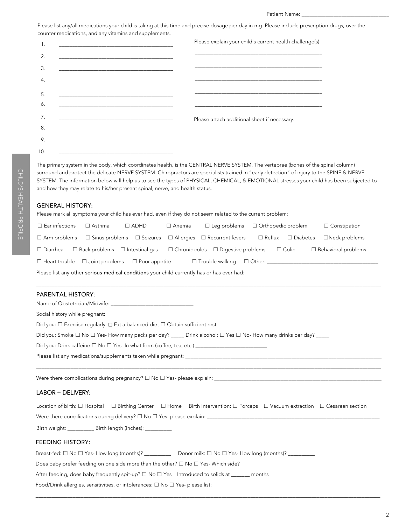Patient Name: \_

Please list any/all medications your child is taking at this time and precise dosage per day in mg. Please include prescription drugs, over the counter medications, and any vitamins and supplements.

|     |                                                                                                                       | Please explain your child's current health challenge(s)                                                               |
|-----|-----------------------------------------------------------------------------------------------------------------------|-----------------------------------------------------------------------------------------------------------------------|
| 2.  |                                                                                                                       | <u> 1989 - Johann Stoff, deutscher Stoff, der Stoff, der Stoff, der Stoff, der Stoff, der Stoff, der Stoff, der S</u> |
| 3.  |                                                                                                                       |                                                                                                                       |
| 4.  |                                                                                                                       |                                                                                                                       |
| 5.  | <u> 1989 - Johann Harry Harry Harry Harry Harry Harry Harry Harry Harry Harry Harry Harry Harry Harry Harry Harry</u> |                                                                                                                       |
| 6.  |                                                                                                                       |                                                                                                                       |
| 7.  |                                                                                                                       | Please attach additional sheet if necessary.                                                                          |
| 8.  | the control of the control of the control of the control of the control of the control of                             |                                                                                                                       |
| 9.  |                                                                                                                       |                                                                                                                       |
| 10. |                                                                                                                       |                                                                                                                       |

The primary system in the body, which coordinates health, is the CENTRAL NERVE SYSTEM. The vertebrae (bones of the spinal column) surround and protect the delicate NERVE SYSTEM. Chiropractors are specialists trained in "early detection" of injury to the SPINE & NERVE SYSTEM. The information below will help us to see the types of PHYSICAL, CHEMICAL, & EMOTIONAL stresses your child has been subjected to and how they may relate to his/her present spinal, nerve, and health status.

#### GENERAL HISTORY:

Please mark all symptoms your child has ever had, even if they do not seem related to the current problem:

| $\Box$ Ear infections                                                                      | $\Box$ Asthma | $\Box$ ADHD | $\Box$ Anemia | $\Box$ Leg problems $\Box$ Orthopedic problem                                                                                    |  |  | $\Box$ Constipation        |
|--------------------------------------------------------------------------------------------|---------------|-------------|---------------|----------------------------------------------------------------------------------------------------------------------------------|--|--|----------------------------|
|                                                                                            |               |             |               | $\Box$ Arm problems $\Box$ Sinus problems $\Box$ Seizures $\Box$ Allergies $\Box$ Recurrent fevers $\Box$ Reflux $\Box$ Diabetes |  |  | $\Box$ Neck problems       |
| $\Box$ Diarrhea $\Box$ Back problems $\Box$ Intestinal gas                                 |               |             |               | $\Box$ Chronic colds $\Box$ Digestive problems $\Box$ Colic                                                                      |  |  | $\Box$ Behavioral problems |
| $\Box$ Heart trouble $\Box$ Joint problems $\Box$ Poor appetite                            |               |             |               |                                                                                                                                  |  |  |                            |
| Please list any other serious medical conditions your child currently has or has ever had: |               |             |               |                                                                                                                                  |  |  |                            |
|                                                                                            |               |             |               |                                                                                                                                  |  |  |                            |
| <b>PARENTAL HISTORY:</b>                                                                   |               |             |               |                                                                                                                                  |  |  |                            |

| Name of Obstetrician/Midwife: Name of Obstetrician/Midwife:                                                                            |
|----------------------------------------------------------------------------------------------------------------------------------------|
| Social history while pregnant:                                                                                                         |
| Did you: $\square$ Exercise reqularly $\square$ Eat a balanced diet $\square$ Obtain sufficient rest                                   |
| Did you: Smoke $\Box$ No $\Box$ Yes-How many packs per day? ______ Drink alcohol: $\Box$ Yes $\Box$ No-How many drinks per day? ______ |
| Did you: Drink caffeine $\square$ No $\square$ Yes- In what form (coffee, tea, etc.)                                                   |
|                                                                                                                                        |
|                                                                                                                                        |

Were there complications during pregnancy?  $\Box$  No  $\Box$  Yes- please explain:

### LABOR + DELIVERY:

|                                                                                       |  |  | Location of birth: $\Box$ Hospital $\Box$ Birthing Center $\Box$ Home Birth Intervention: $\Box$ Forceps $\Box$ Vacuum extraction $\Box$ Cesarean section |  |  |  |  |
|---------------------------------------------------------------------------------------|--|--|-----------------------------------------------------------------------------------------------------------------------------------------------------------|--|--|--|--|
| Were there complications during delivery? $\square$ No $\square$ Yes- please explain: |  |  |                                                                                                                                                           |  |  |  |  |
|                                                                                       |  |  |                                                                                                                                                           |  |  |  |  |
| Birth weight: _________                                                               |  |  |                                                                                                                                                           |  |  |  |  |

 $\_$  ,  $\_$  ,  $\_$  ,  $\_$  ,  $\_$  ,  $\_$  ,  $\_$  ,  $\_$  ,  $\_$  ,  $\_$  ,  $\_$  ,  $\_$  ,  $\_$  ,  $\_$  ,  $\_$  ,  $\_$  ,  $\_$  ,  $\_$  ,  $\_$  ,  $\_$  ,  $\_$  ,  $\_$  ,  $\_$  ,  $\_$  ,  $\_$  ,  $\_$  ,  $\_$  ,  $\_$  ,  $\_$  ,  $\_$  ,  $\_$  ,  $\_$  ,  $\_$  ,  $\_$  ,  $\_$  ,  $\_$  ,  $\_$  ,

### FEEDING HISTORY:

| Breast-fed: $\Box$ No $\Box$ Yes-How long (months)?                                              | Donor milk: $\square$ No $\square$ Yes-How long (months)? _________ |
|--------------------------------------------------------------------------------------------------|---------------------------------------------------------------------|
| Does baby prefer feeding on one side more than the other? $\square$ No $\square$ Yes-Which side? |                                                                     |
| After feeding, does baby frequently spit-up? $\Box$ No $\Box$ Yes Introduced to solids at ______ | months                                                              |
| Food/Drink allergies, sensitivities, or intolerances: $\Box$ No $\Box$ Yes- please list:         |                                                                     |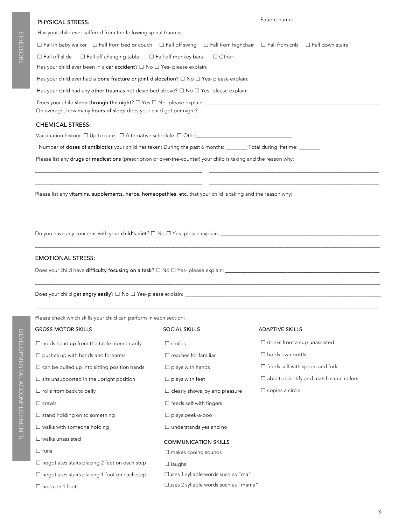# PHYSICAL STRESS:

STRESSORS

STRESSORS

| Has your child ever suffered from the following spinal traumas |  |  |
|----------------------------------------------------------------|--|--|
|----------------------------------------------------------------|--|--|

| $\Box$ Fall in baby walker $\Box$ Fall from bed or couch $\Box$ Fall off swing $\Box$ Fall from highchair $\Box$ Fall from crib $\Box$ Fall down stairs |  |  |  |  |  |
|---------------------------------------------------------------------------------------------------------------------------------------------------------|--|--|--|--|--|
| $\Box$ Fall off slide $\Box$ Fall off changing table $\Box$ Fall off monkey bars $\Box$ Other:                                                          |  |  |  |  |  |
|                                                                                                                                                         |  |  |  |  |  |
|                                                                                                                                                         |  |  |  |  |  |
| Does your child sleep through the night? $\Box$ Yes $\Box$ No-please explain:<br>On average, how many hours of sleep does your child get per night?     |  |  |  |  |  |
| <b>CHEMICAL STRESS:</b>                                                                                                                                 |  |  |  |  |  |

\_\_\_\_\_\_\_\_\_\_\_\_\_\_\_\_\_\_\_\_\_\_\_\_\_\_\_\_\_\_\_\_\_\_\_\_\_\_\_\_\_\_\_\_\_\_\_\_\_\_\_\_\_\_\_\_\_\_\_\_\_\_\_ \_\_\_\_\_\_\_\_\_\_\_\_\_\_\_\_\_\_\_\_\_\_\_\_\_\_\_\_\_\_\_\_\_\_\_\_\_\_\_\_\_\_\_\_\_\_\_\_\_\_\_\_\_\_\_\_\_\_\_\_\_\_\_\_ \_\_\_\_\_\_\_\_\_\_\_\_\_\_\_\_\_\_\_\_\_\_\_\_\_\_\_\_\_\_\_\_\_\_\_\_\_\_\_\_\_\_\_\_\_\_\_\_\_\_\_\_\_\_\_\_\_\_\_\_\_\_\_ \_\_\_\_\_\_\_\_\_\_\_\_\_\_\_\_\_\_\_\_\_\_\_\_\_\_\_\_\_\_\_\_\_\_\_\_\_\_\_\_\_\_\_\_\_\_\_\_\_\_\_\_\_\_\_\_\_\_\_\_\_\_\_\_

\_\_\_\_\_\_\_\_\_\_\_\_\_\_\_\_\_\_\_\_\_\_\_\_\_\_\_\_\_\_\_\_\_\_\_\_\_\_\_\_\_\_\_\_\_\_\_\_\_\_\_\_\_\_\_\_\_\_\_\_\_\_\_ \_\_\_\_\_\_\_\_\_\_\_\_\_\_\_\_\_\_\_\_\_\_\_\_\_\_\_\_\_\_\_\_\_\_\_\_\_\_\_\_\_\_\_\_\_\_\_\_\_\_\_\_\_\_\_\_\_\_\_\_\_\_\_\_ \_\_\_\_\_\_\_\_\_\_\_\_\_\_\_\_\_\_\_\_\_\_\_\_\_\_\_\_\_\_\_\_\_\_\_\_\_\_\_\_\_\_\_\_\_\_\_\_\_\_\_\_\_\_\_\_\_\_\_\_\_\_\_ \_\_\_\_\_\_\_\_\_\_\_\_\_\_\_\_\_\_\_\_\_\_\_\_\_\_\_\_\_\_\_\_\_\_\_\_\_\_\_\_\_\_\_\_\_\_\_\_\_\_\_\_\_\_\_\_\_\_\_\_\_\_\_\_

\_\_\_\_\_\_\_\_\_\_\_\_\_\_\_\_\_\_\_\_\_\_\_\_\_\_\_\_\_\_\_\_\_\_\_\_\_\_\_\_\_\_\_\_\_\_\_\_\_\_\_\_\_\_\_\_\_\_\_\_\_\_\_\_\_\_\_\_\_\_\_\_\_\_\_\_\_\_\_\_\_\_\_\_\_\_\_\_\_\_\_\_\_\_\_\_\_\_\_\_\_\_\_\_\_\_\_\_\_\_\_\_\_\_\_\_\_\_\_\_\_\_\_\_\_\_\_\_\_\_

\_\_\_\_\_\_\_\_\_\_\_\_\_\_\_\_\_\_\_\_\_\_\_\_\_\_\_\_\_\_\_\_\_\_\_\_\_\_\_\_\_\_\_\_\_\_\_\_\_\_\_\_\_\_\_\_\_\_\_\_\_\_\_\_\_\_\_\_\_\_\_\_\_\_\_\_\_\_\_\_\_\_\_\_\_\_\_\_\_\_\_\_\_\_\_\_\_\_\_\_\_\_\_\_\_\_\_\_\_\_\_\_\_\_\_\_\_\_\_\_\_\_\_\_\_\_\_\_\_\_

\_\_\_\_\_\_\_\_\_\_\_\_\_\_\_\_\_\_\_\_\_\_\_\_\_\_\_\_\_\_\_\_\_\_\_\_\_\_\_\_\_\_\_\_\_\_\_\_\_\_\_\_\_\_\_\_\_\_\_\_\_\_\_\_\_\_\_\_\_\_\_\_\_\_\_\_\_\_\_\_\_\_\_\_\_\_\_\_\_\_\_\_\_\_\_\_\_\_\_\_\_\_\_\_\_\_\_\_\_\_\_\_\_\_\_\_\_\_\_\_\_\_\_\_\_\_\_\_\_\_

Vaccination history: ☐ Up to date ☐ Alternative schedule ☐ Other \_\_\_ : \_\_\_\_\_\_\_\_\_\_\_\_\_\_\_\_\_\_\_\_\_\_\_\_\_\_\_\_\_\_\_\_\_

Number of doses of antibiotics your child has taken: During the past 6 months: \_\_\_\_\_\_\_\_ Total during lifetime: \_\_

Please list any drugs or medications (prescription or over-the-counter) your child is taking and the reason why:

Please list any vitamins, supplements, herbs, homeopathies, etc. that your child is taking and the reason why:

Do you have any concerns with your child's diet? ☐ No ☐ Yes- please explain: \_\_\_\_\_\_\_\_\_\_\_\_\_\_\_\_\_\_\_\_\_\_\_\_\_\_\_\_\_\_\_\_\_\_\_\_\_\_\_\_\_\_\_\_\_\_\_\_\_\_\_\_\_\_\_\_\_\_\_\_

### EMOTIONAL STRESS:

Does your child have difficulty focusing on a task? ☐ No ☐ Yes- please explain: \_\_\_\_\_\_\_\_\_\_\_\_\_\_\_\_\_\_\_\_\_\_\_\_\_\_\_\_\_\_\_\_\_\_\_\_\_\_\_\_\_\_\_\_\_\_\_\_\_\_\_\_\_\_\_\_\_\_

Does your child get angry easily? □ No □ Yes- please explain: \_\_\_\_

Please check which skills your child can perform in each section:

| <b>GROSS MOTOR SKILLS</b>                            | <b>SOCIAL SKILLS</b>                  | <b>ADAPTIVE SKILLS</b>                        |
|------------------------------------------------------|---------------------------------------|-----------------------------------------------|
| $\Box$ holds head up from the table momentarily      | $\Box$ smiles                         | $\Box$ drinks from a cup unassisted           |
| $\Box$ pushes up with hands and forearms             | $\Box$ reaches for familiar           | $\Box$ holds own bottle                       |
| $\Box$ can be pulled up into sitting position hands  | $\Box$ plays with hands               | $\Box$ feeds self with spoon and fork         |
| $\Box$ sits unsupported in the upright position      | $\Box$ plays with feet                | $\Box$ able to identify and match same colors |
| $\Box$ rolls from back to belly                      | $\Box$ clearly shows joy and pleasure | $\Box$ copies a circle                        |
| $\Box$ crawls                                        | $\Box$ feeds self with fingers        |                                               |
| $\Box$ stand holding on to something                 | $\Box$ plays peek-a-boo               |                                               |
| $\Box$ walks with someone holding                    | $\Box$ understands yes and no         |                                               |
| $\Box$ walks unassisted                              | <b>COMMUNICATION SKILLS</b>           |                                               |
| $\Box$ runs                                          | $\Box$ makes cooing sounds            |                                               |
| $\Box$ negotiates stairs placing 2 feet on each step | $\Box$ laughs                         |                                               |
| $\Box$ negotiates stairs placing 1 foot on each step | □uses 1 syllable words such as "ma"   |                                               |
| $\Box$ hops on 1 foot                                | □uses 2 syllable words such as "mama" |                                               |

3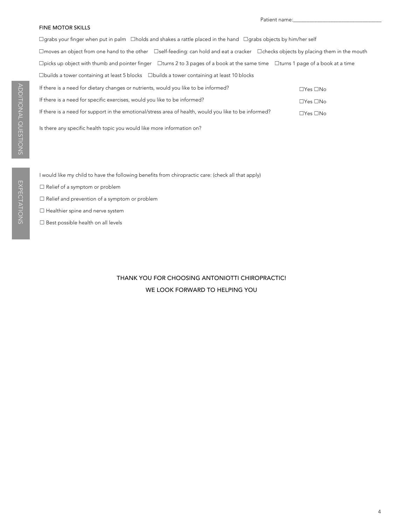#### FINE MOTOR SKILLS

☐Yes ☐No ☐Yes ☐No ☐Yes ☐No ☐grabs your finger when put in palm ☐holds and shakes a rattle placed in the hand ☐grabs objects by him/her self ☐moves an object from one hand to the other ☐self-feeding: can hold and eat a cracker ☐checks objects by placing them in the mouth ☐picks up object with thumb and pointer finger ☐turns 2 to 3 pages of a book at the same time ☐turns 1 page of a book at a time ☐builds a tower containing at least 5 blocks ☐builds a tower containing at least 10 blocks If there is a need for dietary changes or nutrients, would you like to be informed? If there is a need for specific exercises, would you like to be informed? If there is a need for support in the emotional/stress area of health, would you like to be informed?

Is there any specific health topic you would like more information on?

I would like my child to have the following benefits from chiropractic care: (check all that apply)

- ☐ Relief of a symptom or problem
- ☐ Relief and prevention of a symptom or problem
- □ Healthier spine and nerve system
- ☐ Best possible health on all levels

# THANK YOU FOR CHOOSING ANTONIOTTI CHIROPRACTIC! WE LOOK FORWARD TO HELPING YOU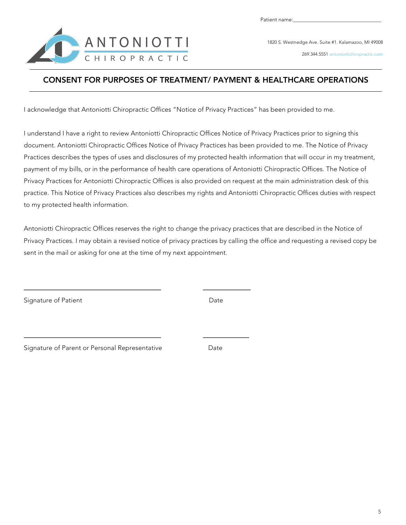

1820 S. Westnedge Ave. Suite #1. Kalamazoo, MI 49008

269.344.5551 antoniottichiropractic.com

# CONSENT FOR PURPOSES OF TREATMENT/ PAYMENT & HEALTHCARE OPERATIONS

I acknowledge that Antoniotti Chiropractic Offices "Notice of Privacy Practices" has been provided to me.

I understand I have a right to review Antoniotti Chiropractic Offices Notice of Privacy Practices prior to signing this document. Antoniotti Chiropractic Offices Notice of Privacy Practices has been provided to me. The Notice of Privacy Practices describes the types of uses and disclosures of my protected health information that will occur in my treatment, payment of my bills, or in the performance of health care operations of Antoniotti Chiropractic Offices. The Notice of Privacy Practices for Antoniotti Chiropractic Offices is also provided on request at the main administration desk of this practice. This Notice of Privacy Practices also describes my rights and Antoniotti Chiropractic Offices duties with respect to my protected health information.

Antoniotti Chiropractic Offices reserves the right to change the privacy practices that are described in the Notice of Privacy Practices. I may obtain a revised notice of privacy practices by calling the office and requesting a revised copy be sent in the mail or asking for one at the time of my next appointment.

Signature of Patient **Date** Date Date

Signature of Parent or Personal Representative

Date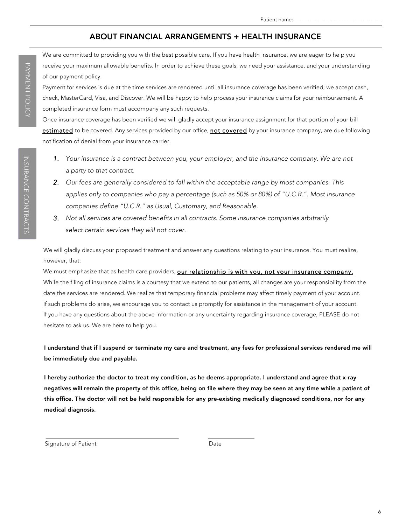## ABOUT FINANCIAL ARRANGEMENTS + HEALTH INSURANCE

We are committed to providing you with the best possible care. If you have health insurance, we are eager to help you receive your maximum allowable benefits. In order to achieve these goals, we need your assistance, and your understanding of our payment policy.

Payment for services is due at the time services are rendered until all insurance coverage has been verified; we accept cash, check, MasterCard, Visa, and Discover. We will be happy to help process your insurance claims for your reimbursement. A completed insurance form must accompany any such requests.

Once insurance coverage has been verified we will gladly accept your insurance assignment for that portion of your bill estimated to be covered. Any services provided by our office, not covered by your insurance company, are due following notification of denial from your insurance carrier.

- 1. *Your insurance is a contract between you, your employer, and the insurance company. We are not a party to that contract.*
- 2. *Our fees are generally considered to fall within the acceptable range by most companies. This applies only to companies who pay a percentage (such as 50% or 80%) of "U.C.R.". Most insurance companies define "U.C.R." as Usual, Customary, and Reasonable.*
- 3. *Not all services are covered benefits in all contracts. Some insurance companies arbitrarily select certain services they will not cover.*

We will gladly discuss your proposed treatment and answer any questions relating to your insurance. You must realize, however, that:

We must emphasize that as health care providers, our relationship is with you, not your insurance company. While the filing of insurance claims is a courtesy that we extend to our patients, all changes are your responsibility from the date the services are rendered. We realize that temporary financial problems may affect timely payment of your account. If such problems do arise, we encourage you to contact us promptly for assistance in the management of your account. If you have any questions about the above information or any uncertainty regarding insurance coverage, PLEASE do not hesitate to ask us. We are here to help you.

## I understand that if I suspend or terminate my care and treatment, any fees for professional services rendered me will be immediately due and payable.

I hereby authorize the doctor to treat my condition, as he deems appropriate. I understand and agree that x-ray negatives will remain the property of this office, being on file where they may be seen at any time while a patient of this office. The doctor will not be held responsible for any pre-existing medically diagnosed conditions, nor for any medical diagnosis.

Signature of Patient **Date** Date Date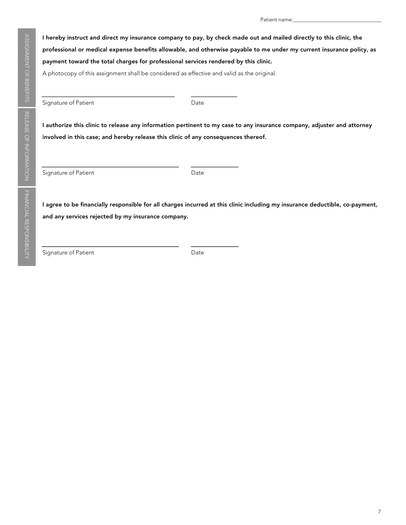I hereby instruct and direct my insurance company to pay, by check made out and mailed directly to this clinic, the professional or medical expense benefits allowable, and otherwise payable to me under my current insurance policy, as payment toward the total charges for professional services rendered by this clinic. A photocopy of this assignment shall be considered as effective and valid as the original.

Signature of Patient **Date** 

I authorize this clinic to release any information pertinent to my case to any insurance company, adjuster and attorney involved in this case; and hereby release this clinic of any consequences thereof.

Signature of Patient **Date** Date

I agree to be financially responsible for all charges incurred at this clinic including my insurance deductible, co-payment, and any services rejected by my insurance company.

Signature of Patient Date Date